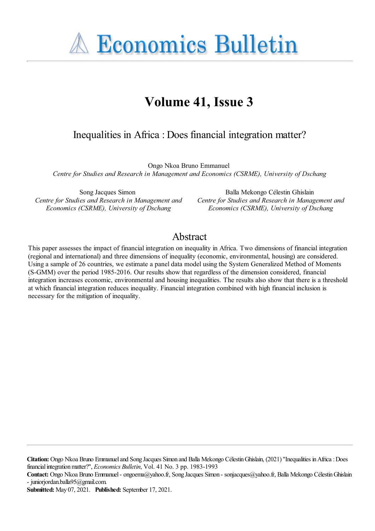**A Economics Bulletin** 

# **Volume 41, Issue 3**

# Inequalities in Africa : Does financial integration matter?

Ongo Nkoa Bruno Emmanuel *Centre for Studies and Research in Management and Economics (CSRME), University of Dschang*

Song Jacques Simon *Centre for Studies and Research in Management and Economics (CSRME), University of Dschang*

Balla Mekongo Célestin Ghislain *Centre for Studies and Research in Management and Economics (CSRME), University of Dschang*

## Abstract

This paper assesses the impact of financial integration on inequality in Africa. Two dimensions of financial integration (regional and international) and three dimensions of inequality (economic, environmental, housing) are considered. Using a sample of 26 countries, we estimate a panel data model using the System Generalized Method of Moments (S-GMM) over the period 1985-2016. Our results show that regardless of the dimension considered, financial integration increases economic, environmental and housing inequalities. The results also show that there is a threshold at which financial integration reduces inequality. Financial integration combined with high financial inclusion is necessary for the mitigation of inequality.

**Citation:** Ongo Nkoa Bruno Emmanuel and Song Jacques Simon and Balla Mekongo Célestin Ghislain, (2021) "Inequalities in Africa: Does financialintegrationmatter?'', *Economics Bulletin*, Vol. 41 No. 3 pp. 1983-1993

Contact: Ongo Nkoa Bruno Emmanuel - ongoema@yahoo.fr, Song Jacques Simon - sonjacques@yahoo.fr, Balla Mekongo Célestin Ghislain - juniorjordan.balla95@gmail.com.

**Submitted:** May 07, 2021. **Published:** September 17, 2021.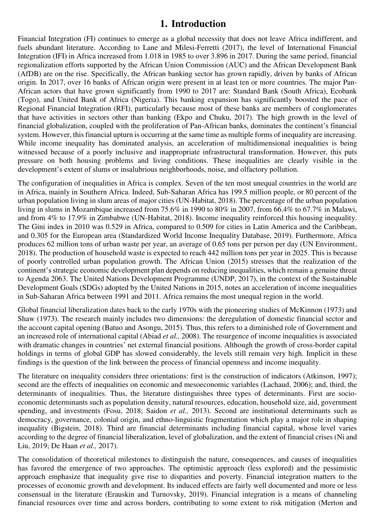## **1. Introduction**

Financial Integration (FI) continues to emerge as a global necessity that does not leave Africa indifferent, and fuels abundant literature. According to Lane and Milesi-Ferretti (2017), the level of International Financial Integration (IFI) in Africa increased from 1.018 in 1985 to over 3.896 in 2017. During the same period, financial regionalization efforts supported by the African Union Commission (AUC) and the African Development Bank (AfDB) are on the rise. Specifically, the African banking sector has grown rapidly, driven by banks of African origin. In 2017, over 16 banks of African origin were present in at least ten or more countries. The major Pan-African actors that have grown significantly from 1990 to 2017 are: Standard Bank (South Africa), Ecobank (Togo), and United Bank of Africa (Nigeria). This banking expansion has significantly boosted the pace of Regional Financial Integration (RFI), particularly because most of these banks are members of conglomerates that have activities in sectors other than banking (Ekpo and Chuku, 2017). The high growth in the level of financial globalization, coupled with the proliferation of Pan-African banks, dominates the continent's financial system. However, this financial upturn is occurring at the same time as multiple forms of inequality are increasing. While income inequality has dominated analysis, an acceleration of multidimensional inequalities is being witnessed because of a poorly inclusive and inappropriate infrastructural transformation. However, this puts pressure on both housing problems and living conditions. These inequalities are clearly visible in the development's extent of slums or insalubrious neighborhoods, noise, and olfactory pollution.

The configuration of inequalities in Africa is complex. Seven of the ten most unequal countries in the world are in Africa, mainly in Southern Africa. Indeed, Sub-Saharan Africa has 199.5 million people, or 80 percent of the urban population living in slum areas of major cities (UN-Habitat, 2018). The percentage of the urban population living in slums in Mozambique increased from 75.6% in 1990 to 80% in 2007, from 66.4% to 67.7% in Malawi, and from 4% to 17.9% in Zimbabwe (UN-Habitat, 2018). Income inequality reinforced this housing inequality. The Gini index in 2010 was 0.529 in Africa, compared to 0.509 for cities in Latin America and the Caribbean, and 0.305 for the European area (Standardized World Income Inequality Database, 2019). Furthermore, Africa produces 62 million tons of urban waste per year, an average of 0.65 tons per person per day (UN Environment, 2018). The production of household waste is expected to reach 442 million tons per year in 2025. This is because of poorly controlled urban population growth. The African Union (2015) stresses that the realization of the continent's strategic economic development plan depends on reducing inequalities, which remain a genuine threat to Agenda 2063. The United Nations Development Programme (UNDP, 2017), in the context of the Sustainable Development Goals (SDGs) adopted by the United Nations in 2015, notes an acceleration of income inequalities in Sub-Saharan Africa between 1991 and 2011. Africa remains the most unequal region in the world.

Global financial liberalization dates back to the early 1970s with the pioneering studies of McKinnon (1973) and Shaw (1973). The research mainly includes two dimensions: the deregulation of domestic financial sector and the account capital opening (Batuo and Asongu, 2015). Thus, this refers to a diminished role of Government and an increased role of international capital (Abiad *et al.,* 2008). The resurgence of income inequalities is associated with dramatic changes in countries' net external financial positions. Although the growth of cross-border capital holdings in terms of global GDP has slowed considerably, the levels still remain very high. Implicit in these findings is the question of the link between the process of financial openness and income inequality.

The literature on inequality considers three orientations: first is the construction of indicators (Atkinson, 1997); second are the effects of inequalities on economic and mesoeconomic variables (Lachaud, 2006); and, third, the determinants of inequalities. Thus, the literature distinguishes three types of determinants. First are socioeconomic determinants such as population density, natural resources, education, household size, aid, government spending, and investments (Fosu, 2018; Saidon *et al.,* 2013). Second are institutional determinants such as democracy, governance, colonial origin, and ethno-linguistic fragmentation which play a major role in shaping inequality (Bigstein, 2018). Third are financial determinants including financial capital, whose level varies according to the degree of financial liberalization, level of globalization, and the extent of financial crises (Ni and Liu, 2019; De Haan *et al.,* 2017).

The consolidation of theoretical milestones to distinguish the nature, consequences, and causes of inequalities has favored the emergence of two approaches. The optimistic approach (less explored) and the pessimistic approach emphasize that inequality give rise to disparities and poverty. Financial integration matters to the processes of economic growth and development. Its induced effects are fairly well documented and more or less consensual in the literature (Erauskin and Turnovsky, 2019). Financial integration is a means of channeling financial resources over time and across borders, contributing to some extent to risk mitigation (Merton and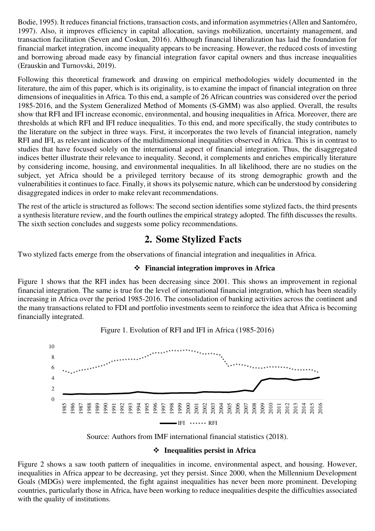Bodie, 1995). It reduces financial frictions, transaction costs, and information asymmetries (Allen and Santoméro, 1997). Also, it improves efficiency in capital allocation, savings mobilization, uncertainty management, and transaction facilitation (Seven and Coskun, 2016). Although financial liberalization has laid the foundation for financial market integration, income inequality appears to be increasing. However, the reduced costs of investing and borrowing abroad made easy by financial integration favor capital owners and thus increase inequalities (Erauskin and Turnovski, 2019).

Following this theoretical framework and drawing on empirical methodologies widely documented in the literature, the aim of this paper, which is its originality, is to examine the impact of financial integration on three dimensions of inequalities in Africa. To this end, a sample of 26 African countries was considered over the period 1985-2016, and the System Generalized Method of Moments (S-GMM) was also applied. Overall, the results show that RFI and IFI increase economic, environmental, and housing inequalities in Africa. Moreover, there are thresholds at which RFI and IFI reduce inequalities. To this end, and more specifically, the study contributes to the literature on the subject in three ways. First, it incorporates the two levels of financial integration, namely RFI and IFI, as relevant indicators of the multidimensional inequalities observed in Africa. This is in contrast to studies that have focused solely on the international aspect of financial integration. Thus, the disaggregated indices better illustrate their relevance to inequality. Second, it complements and enriches empirically literature by considering income, housing, and environmental inequalities. In all likelihood, there are no studies on the subject, yet Africa should be a privileged territory because of its strong demographic growth and the vulnerabilities it continues to face. Finally, it shows its polysemic nature, which can be understood by considering disaggregated indices in order to make relevant recommendations.

The rest of the article is structured as follows: The second section identifies some stylized facts, the third presents a synthesis literature review, and the fourth outlines the empirical strategy adopted. The fifth discusses the results. The sixth section concludes and suggests some policy recommendations.

# **2. Some Stylized Facts**

Two stylized facts emerge from the observations of financial integration and inequalities in Africa.

### **Financial integration improves in Africa**

Figure 1 shows that the RFI index has been decreasing since 2001. This shows an improvement in regional financial integration. The same is true for the level of international financial integration, which has been steadily increasing in Africa over the period 1985-2016. The consolidation of banking activities across the continent and the many transactions related to FDI and portfolio investments seem to reinforce the idea that Africa is becoming financially integrated.



Figure 1. Evolution of RFI and IFI in Africa (1985-2016)

Source: Authors from IMF international financial statistics (2018).

#### **Inequalities persist in Africa**

Figure 2 shows a saw tooth pattern of inequalities in income, environmental aspect, and housing. However, inequalities in Africa appear to be decreasing, yet they persist. Since 2000, when the Millennium Development Goals (MDGs) were implemented, the fight against inequalities has never been more prominent. Developing countries, particularly those in Africa, have been working to reduce inequalities despite the difficulties associated with the quality of institutions.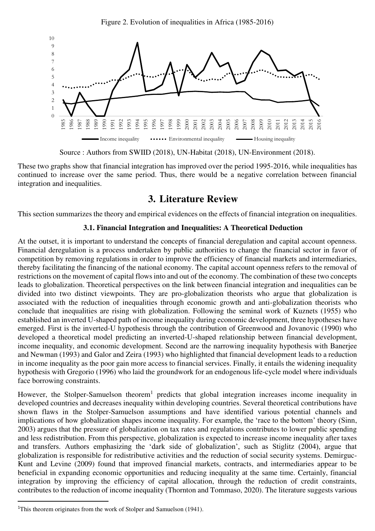Figure 2. Evolution of inequalities in Africa (1985-2016)



Source : Authors from SWIID (2018), UN-Habitat (2018), UN-Environment (2018).

These two graphs show that financial integration has improved over the period 1995-2016, while inequalities has continued to increase over the same period. Thus, there would be a negative correlation between financial integration and inequalities.

# **3. Literature Review**

This section summarizes the theory and empirical evidences on the effects of financial integration on inequalities.

### **3.1. Financial Integration and Inequalities: A Theoretical Deduction**

At the outset, it is important to understand the concepts of financial deregulation and capital account openness. Financial deregulation is a process undertaken by public authorities to change the financial sector in favor of competition by removing regulations in order to improve the efficiency of financial markets and intermediaries, thereby facilitating the financing of the national economy. The capital account openness refers to the removal of restrictions on the movement of capital flows into and out of the economy. The combination of these two concepts leads to globalization. Theoretical perspectives on the link between financial integration and inequalities can be divided into two distinct viewpoints. They are pro-globalization theorists who argue that globalization is associated with the reduction of inequalities through economic growth and anti-globalization theorists who conclude that inequalities are rising with globalization. Following the seminal work of Kuznets (1955) who established an inverted U-shaped path of income inequality during economic development, three hypotheses have emerged. First is the inverted-U hypothesis through the contribution of Greenwood and Jovanovic (1990) who developed a theoretical model predicting an inverted-U-shaped relationship between financial development, income inequality, and economic development. Second are the narrowing inequality hypothesis with Banerjee and Newman (1993) and Galor and Zeira (1993) who highlighted that financial development leads to a reduction in income inequality as the poor gain more access to financial services. Finally, it entails the widening inequality hypothesis with Gregorio (1996) who laid the groundwork for an endogenous life-cycle model where individuals face borrowing constraints.

However, the Stolper-Samuelson theorem<sup>1</sup> predicts that global integration increases income inequality in developed countries and decreases inequality within developing countries. Several theoretical contributions have shown flaws in the Stolper-Samuelson assumptions and have identified various potential channels and implications of how globalization shapes income inequality. For example, the 'race to the bottom' theory (Sinn, 2003) argues that the pressure of globalization on tax rates and regulations contributes to lower public spending and less redistribution. From this perspective, globalization is expected to increase income inequality after taxes and transfers. Authors emphasizing the 'dark side of globalization', such as Stiglitz (2004), argue that globalization is responsible for redistributive activities and the reduction of social security systems. Demirguc-Kunt and Levine (2009) found that improved financial markets, contracts, and intermediaries appear to be beneficial in expanding economic opportunities and reducing inequality at the same time. Certainly, financial integration by improving the efficiency of capital allocation, through the reduction of credit constraints, contributes to the reduction of income inequality (Thornton and Tommaso, 2020). The literature suggests various

 $\overline{a}$ 

<sup>&</sup>lt;sup>1</sup>This theorem originates from the work of Stolper and Samuelson (1941).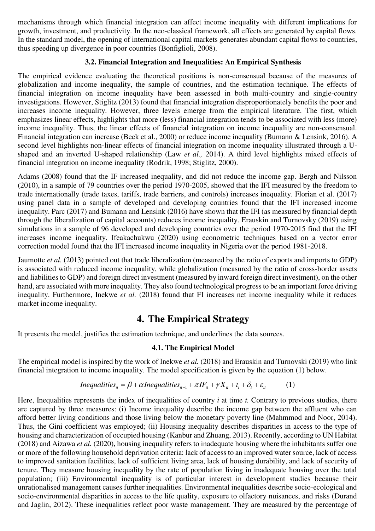mechanisms through which financial integration can affect income inequality with different implications for growth, investment, and productivity. In the neo-classical framework, all effects are generated by capital flows. In the standard model, the opening of international capital markets generates abundant capital flows to countries, thus speeding up divergence in poor countries (Bonfiglioli, 2008).

### **3.2. Financial Integration and Inequalities: An Empirical Synthesis**

The empirical evidence evaluating the theoretical positions is non-consensual because of the measures of globalization and income inequality, the sample of countries, and the estimation technique. The effects of financial integration on income inequality have been assessed in both multi-country and single-country investigations. However, Stiglitz (2013) found that financial integration disproportionately benefits the poor and increases income inequality. However, three levels emerge from the empirical literature. The first, which emphasizes linear effects, highlights that more (less) financial integration tends to be associated with less (more) income inequality. Thus, the linear effects of financial integration on income inequality are non-consensual. Financial integration can increase (Beck et al., 2000) or reduce income inequality (Bumann & Lensink, 2016). A second level highlights non-linear effects of financial integration on income inequality illustrated through a Ushaped and an inverted U-shaped relationship (Law *et al.,* 2014). A third level highlights mixed effects of financial integration on income inequality (Rodrik, 1998; Stiglitz, 2000).

Adams (2008) found that the IF increased inequality, and did not reduce the income gap. Bergh and Nilsson (2010), in a sample of 79 countries over the period 1970-2005, showed that the IFI measured by the freedom to trade internationally (trade taxes, tariffs, trade barriers, and controls) increases inequality. Florian et al. (2017) using panel data in a sample of developed and developing countries found that the IFI increased income inequality. Parc (2017) and Bumann and Lensink (2016) have shown that the IFI (as measured by financial depth through the liberalization of capital accounts) reduces income inequality. Erauskin and Turnovsky (2019) using simulations in a sample of 96 developed and developing countries over the period 1970-2015 find that the IFI increases income inequality. Ifeakachukwu (2020) using econometric techniques based on a vector error correction model found that the IFI increased income inequality in Nigeria over the period 1981-2018.

Jaumotte *et al.* (2013) pointed out that trade liberalization (measured by the ratio of exports and imports to GDP) is associated with reduced income inequality, while globalization (measured by the ratio of cross-border assets and liabilities to GDP) and foreign direct investment (measured by inward foreign direct investment), on the other hand, are associated with more inequality. They also found technological progress to be an important force driving inequality. Furthermore, Inekwe *et al.* (2018) found that FI increases net income inequality while it reduces market income inequality.

# **4. The Empirical Strategy**

It presents the model, justifies the estimation technique, and underlines the data sources.

### **4.1. The Empirical Model**

The empirical model is inspired by the work of Inekwe *et al.* (2018) and Erauskin and Turnovski (2019) who link financial integration to income inequality. The model specification is given by the equation (1) below.

*Inequalities<sub>it</sub>* = 
$$
\beta + \alpha
$$
*Inequalities<sub>it-1</sub>* +  $\pi I F_{it} + \gamma X_{it} + t_i + \delta_t + \varepsilon_{it}$  (1)

Here, Inequalities represents the index of inequalities of country *i* at time *t.* Contrary to previous studies, there are captured by three measures: (i) Income inequality describe the income gap between the affluent who can afford better living conditions and those living below the monetary poverty line (Mahmmod and Noor, 2014). Thus, the Gini coefficient was employed; (ii) Housing inequality describes disparities in access to the type of housing and characterization of occupied housing (Kanbur and Zhuang, 2013). Recently, according to UN Habitat (2018) and Aizawa *et al.* (2020), housing inequality refers to inadequate housing where the inhabitants suffer one or more of the following household deprivation criteria: lack of access to an improved water source, lack of access to improved sanitation facilities, lack of sufficient living area, lack of housing durability, and lack of security of tenure. They measure housing inequality by the rate of population living in inadequate housing over the total population; (iii) Environmental inequality is of particular interest in development studies because their unrationalised management causes further inequalities. Environmental inequalities describe socio-ecological and socio-environmental disparities in access to the life quality, exposure to olfactory nuisances, and risks (Durand and Jaglin, 2012). These inequalities reflect poor waste management. They are measured by the percentage of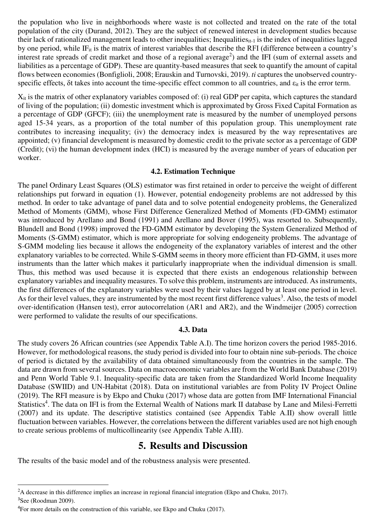the population who live in neighborhoods where waste is not collected and treated on the rate of the total population of the city (Durand, 2012). They are the subject of renewed interest in development studies because their lack of rationalized management leads to other inequalities; Inequalities<sub>it-1</sub> is the index of inequalities lagged by one period, while IF<sub>it</sub> is the matrix of interest variables that describe the RFI (difference between a country's interest rate spreads of credit market and those of a regional average<sup>2</sup>) and the IFI (sum of external assets and liabilities as a percentage of GDP). These are quantity-based measures that seek to quantify the amount of capital flows between economies (Bonfiglioli, 2008; Erauskin and Turnovski, 2019). *ti* captures the unobserved countryspecific effects,  $\delta t$  takes into account the time-specific effect common to all countries, and  $\varepsilon_{it}$  is the error term.

Xit is the matrix of other explanatory variables composed of: (i) real GDP per capita, which captures the standard of living of the population; (ii) domestic investment which is approximated by Gross Fixed Capital Formation as a percentage of GDP (GFCF); (iii) the unemployment rate is measured by the number of unemployed persons aged 15-34 years, as a proportion of the total number of this population group. This unemployment rate contributes to increasing inequality; (iv) the democracy index is measured by the way representatives are appointed; (v) financial development is measured by domestic credit to the private sector as a percentage of GDP (Credit); (vi) the human development index (HCI) is measured by the average number of years of education per worker.

#### **4.2. Estimation Technique**

The panel Ordinary Least Squares (OLS) estimator was first retained in order to perceive the weight of different relationships put forward in equation (1). However, potential endogeneity problems are not addressed by this method. In order to take advantage of panel data and to solve potential endogeneity problems, the Generalized Method of Moments (GMM), whose First Difference Generalized Method of Moments (FD-GMM) estimator was introduced by Arellano and Bond (1991) and Arellano and Bover (1995), was resorted to. Subsequently, Blundell and Bond (1998) improved the FD-GMM estimator by developing the System Generalized Method of Moments (S-GMM) estimator, which is more appropriate for solving endogeneity problems. The advantage of S-GMM modeling lies because it allows the endogeneity of the explanatory variables of interest and the other explanatory variables to be corrected. While S-GMM seems in theory more efficient than FD-GMM, it uses more instruments than the latter which makes it particularly inappropriate when the individual dimension is small. Thus, this method was used because it is expected that there exists an endogenous relationship between explanatory variables and inequality measures. To solve this problem, instruments are introduced. As instruments, the first differences of the explanatory variables were used by their values lagged by at least one period in level. As for their level values, they are instrumented by the most recent first difference values<sup>3</sup>. Also, the tests of model over-identification (Hansen test), error autocorrelation (AR1 and AR2), and the Windmeijer (2005) correction were performed to validate the results of our specifications.

#### **4.3. Data**

The study covers 26 African countries (see Appendix Table A.I). The time horizon covers the period 1985-2016. However, for methodological reasons, the study period is divided into four to obtain nine sub-periods. The choice of period is dictated by the availability of data obtained simultaneously from the countries in the sample. The data are drawn from several sources. Data on macroeconomic variables are from the World Bank Database (2019) and Penn World Table 9.1. Inequality-specific data are taken from the Standardized World Income Inequality Database (SWIID) and UN-Habitat (2018). Data on institutional variables are from Polity IV Project Online (2019). The RFI measure is by Ekpo and Chuku (2017) whose data are gotten from IMF International Financial Statistics<sup>4</sup>. The data on IFI is from the External Wealth of Nations mark II database by Lane and Milesi-Ferretti (2007) and its update. The descriptive statistics contained (see Appendix Table A.II) show overall little fluctuation between variables. However, the correlations between the different variables used are not high enough to create serious problems of multicollinearity (see Appendix Table A.III).

### **5. Results and Discussion**

The results of the basic model and of the robustness analysis were presented.

l

<sup>&</sup>lt;sup>2</sup>A decrease in this difference implies an increase in regional financial integration (Ekpo and Chuku, 2017). <sup>3</sup>See (Roodman 2009).

<sup>&</sup>lt;sup>4</sup>For more details on the construction of this variable, see Ekpo and Chuku (2017).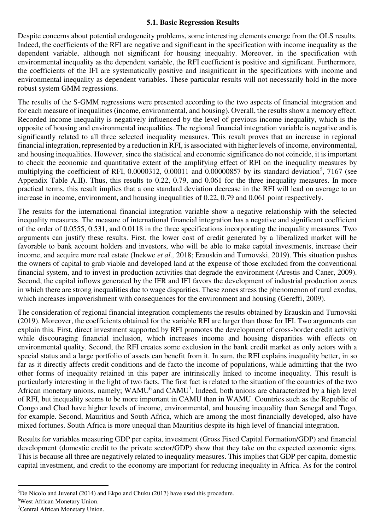#### **5.1. Basic Regression Results**

Despite concerns about potential endogeneity problems, some interesting elements emerge from the OLS results. Indeed, the coefficients of the RFI are negative and significant in the specification with income inequality as the dependent variable, although not significant for housing inequality. Moreover, in the specification with environmental inequality as the dependent variable, the RFI coefficient is positive and significant. Furthermore, the coefficients of the IFI are systematically positive and insignificant in the specifications with income and environmental inequality as dependent variables. These particular results will not necessarily hold in the more robust system GMM regressions.

The results of the S-GMM regressions were presented according to the two aspects of financial integration and for each measure of inequalities (income, environmental, and housing). Overall, the results show a memory effect. Recorded income inequality is negatively influenced by the level of previous income inequality, which is the opposite of housing and environmental inequalities. The regional financial integration variable is negative and is significantly related to all three selected inequality measures. This result proves that an increase in regional financial integration, represented by a reduction in RFI, is associated with higher levels of income, environmental, and housing inequalities. However, since the statistical and economic significance do not coincide, it is important to check the economic and quantitative extent of the amplifying effect of RFI on the inequality measures by multiplying the coefficient of RFI,  $0.0000312$ ,  $0.00011$  and  $0.00000857$  by its standard deviation<sup>5</sup>, 7167 (see Appendix Table A.II). Thus, this results to 0.22, 0.79, and 0.061 for the three inequality measures. In more practical terms, this result implies that a one standard deviation decrease in the RFI will lead on average to an increase in income, environment, and housing inequalities of 0.22, 0.79 and 0.061 point respectively.

The results for the international financial integration variable show a negative relationship with the selected inequality measures. The measure of international financial integration has a negative and significant coefficient of the order of 0.0555, 0.531, and 0.0118 in the three specifications incorporating the inequality measures. Two arguments can justify these results. First, the lower cost of credit generated by a liberalized market will be favorable to bank account holders and investors, who will be able to make capital investments, increase their income, and acquire more real estate (Inekwe *et al.,* 2018; Erauskin and Turnovski, 2019). This situation pushes the owners of capital to grab viable and developed land at the expense of those excluded from the conventional financial system, and to invest in production activities that degrade the environment (Arestis and Caner, 2009). Second, the capital inflows generated by the IFR and IFI favors the development of industrial production zones in which there are strong inequalities due to wage disparities. These zones stress the phenomenon of rural exodus, which increases impoverishment with consequences for the environment and housing (Gereffi, 2009).

The consideration of regional financial integration complements the results obtained by Erauskin and Turnovski (2019). Moreover, the coefficients obtained for the variable RFI are larger than those for IFI. Two arguments can explain this. First, direct investment supported by RFI promotes the development of cross-border credit activity while discouraging financial inclusion, which increases income and housing disparities with effects on environmental quality. Second, the RFI creates some exclusion in the bank credit market as only actors with a special status and a large portfolio of assets can benefit from it. In sum, the RFI explains inequality better, in so far as it directly affects credit conditions and de facto the income of populations, while admitting that the two other forms of inequality retained in this paper are intrinsically linked to income inequality. This result is particularly interesting in the light of two facts. The first fact is related to the situation of the countries of the two African monetary unions, namely;  $WAMU^6$  and  $CAMU^7$ . Indeed, both unions are characterized by a high level of RFI, but inequality seems to be more important in CAMU than in WAMU. Countries such as the Republic of Congo and Chad have higher levels of income, environmental, and housing inequality than Senegal and Togo, for example. Second, Mauritius and South Africa, which are among the most financially developed, also have mixed fortunes. South Africa is more unequal than Mauritius despite its high level of financial integration.

Results for variables measuring GDP per capita, investment (Gross Fixed Capital Formation/GDP) and financial development (domestic credit to the private sector/GDP) show that they take on the expected economic signs. This is because all three are negatively related to inequality measures. This implies that GDP per capita, domestic capital investment, and credit to the economy are important for reducing inequality in Africa. As for the control

l

 ${}^{5}$ De Nicolo and Juvenal (2014) and Ekpo and Chuku (2017) have used this procedure.

<sup>6</sup>West African Monetary Union.

<sup>7</sup>Central African Monetary Union.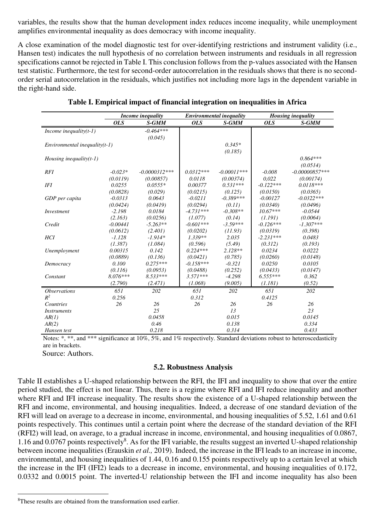variables, the results show that the human development index reduces income inequality, while unemployment amplifies environmental inequality as does democracy with income inequality.

A close examination of the model diagnostic test for over-identifying restrictions and instrument validity (i.e., Hansen test) indicates the null hypothesis of no correlation between instruments and residuals in all regression specifications cannot be rejected in Table I. This conclusion follows from the p-values associated with the Hansen test statistic. Furthermore, the test for second-order autocorrelation in the residuals shows that there is no secondorder serial autocorrelation in the residuals, which justifies not including more lags in the dependent variable in the right-hand side.

|                                 |            | Income inequality |             | <b>Environmental inequality</b> | <b>Housing inequality</b> |                  |  |
|---------------------------------|------------|-------------------|-------------|---------------------------------|---------------------------|------------------|--|
|                                 | <b>OLS</b> | S-GMM             | <b>OLS</b>  | S-GMM                           | <i>OLS</i>                | S-GMM            |  |
| Income inequality $(t-1)$       |            | $-0.464***$       |             |                                 |                           |                  |  |
|                                 |            | (0.045)           |             |                                 |                           |                  |  |
| $Environmental inequality(t-1)$ |            |                   |             | $0.345*$                        |                           |                  |  |
|                                 |            |                   |             | (0.185)                         |                           |                  |  |
| Housing inequality $(t-1)$      |            |                   |             |                                 |                           | $0.864***$       |  |
|                                 |            |                   |             |                                 |                           | (0.0514)         |  |
| RFI                             | $-0.023*$  | $-0.0000312***$   | $0.0312***$ | $-0.00011***$                   | $-0.008$                  | $-0.00000857***$ |  |
|                                 | (0.0119)   | (0.00857)         | 0.0118      | (0.00374)                       | 0.022                     | (0.00174)        |  |
| <b>IFI</b>                      | 0.0255     | $0.0555*$         | 0.00377     | $0.531***$                      | $-0.122***$               | $0.0118***$      |  |
|                                 | (0.0828)   | (0.029)           | (0.0215)    | (0.125)                         | (0.0150)                  | (0.0365)         |  |
| GDP per capita                  | $-0.0313$  | 0.0643            | $-0.0211$   | $-0.389***$                     | $-0.00127$                | $-0.0322***$     |  |
|                                 | (0.0424)   | (0.0419)          | (0.0294)    | (0.11)                          | (0.0340)                  | (0.0496)         |  |
| Investment                      | $-2.198$   | 0.0184            | $-4.731***$ | $-0.308**$                      | $10.67***$                | $-0.0544$        |  |
|                                 | (2.163)    | (0.0256)          | (1.077)     | (0.14)                          | (1.191)                   | (0.0064)         |  |
| Credit                          | $-0.00441$ | $-5.263**$        | $-0.601***$ | $-3.59***$                      | $-0.126***$               | $-1.307***$      |  |
|                                 | (0.0612)   | (2.401)           | (0.0202)    | (11.93)                         | (0.0319)                  | (0.398)          |  |
| <b>HCI</b>                      | $-1.128$   | $-1.914*$         | $1.339**$   | 2.035                           | $-2.231***$               | 0.0483           |  |
|                                 | (1.387)    | (1.084)           | (0.596)     | (5.49)                          | (0.312)                   | (0.193)          |  |
| Unemployment                    | 0.00315    | 0.142             | $0.224***$  | $2.128**$                       | 0.0234                    | 0.0222           |  |
|                                 | (0.0889)   | (0.136)           | (0.0421)    | (0.785)                         | (0.0260)                  | (0.0148)         |  |
| Democracy                       | 0.100      | $0.275***$        | $-0.158***$ | $-0.321$                        | 0.0250                    | 0.0105           |  |
|                                 | (0.116)    | (0.0953)          | (0.0488)    | (0.252)                         | (0.0433)                  | (0.0147)         |  |
| Constant                        | $8.076***$ | $8.533***$        | $3.571***$  | $-4.298$                        | $6.555***$                | 0.362            |  |
|                                 | (2.790)    | (2.471)           | (1.068)     | (9.005)                         | (1.181)                   | (0.52)           |  |
| <i><b>Observations</b></i>      | 651        | 202               | 651         | 202                             | 651                       | 202              |  |
| $R^2$                           | 0.256      |                   | 0.312       |                                 | 0.4125                    |                  |  |
| <b>Countries</b>                | 26         | 26                | 26          | 26                              | 26                        | 26               |  |
| <i>Instruments</i>              |            | 25                |             | 13                              |                           | 23               |  |
| AR(1)                           |            | 0.0458            |             | 0.015                           |                           | 0.0145           |  |
| AR(2)                           |            | 0.46              |             | 0.138                           |                           | 0.334            |  |
| Hansen test                     |            | 0.218             |             | 0.314                           |                           | 0.433            |  |

**Table I. Empirical impact of financial integration on inequalities in Africa** 

 Notes: \*, \*\*, and \*\*\* significance at 10%, 5%, and 1% respectively. Standard deviations robust to heteroscedasticity are in brackets.

Source: Authors.

 $\overline{a}$ 

#### **5.2. Robustness Analysis**

Table II establishes a U-shaped relationship between the RFI, the IFI and inequality to show that over the entire period studied, the effect is not linear. Thus, there is a regime where RFI and IFI reduce inequality and another where RFI and IFI increase inequality. The results show the existence of a U-shaped relationship between the RFI and income, environmental, and housing inequalities. Indeed, a decrease of one standard deviation of the RFI will lead on average to a decrease in income, environmental, and housing inequalities of 5.52, 1.61 and 0.61 points respectively. This continues until a certain point where the decrease of the standard deviation of the RFI (RFI2) will lead, on average, to a gradual increase in income, environmental, and housing inequalities of 0.0867, 1.16 and 0.0767 points respectively<sup>8</sup>. As for the IFI variable, the results suggest an inverted U-shaped relationship between income inequalities (Erauskin *et al.,* 2019). Indeed, the increase in the IFI leads to an increase in income, environmental, and housing inequalities of 1.44, 0.16 and 0.155 points respectively up to a certain level at which the increase in the IFI (IFI2) leads to a decrease in income, environmental, and housing inequalities of 0.172, 0.0332 and 0.0015 point. The inverted-U relationship between the IFI and income inequality has also been

<sup>&</sup>lt;sup>8</sup>These results are obtained from the transformation used earlier.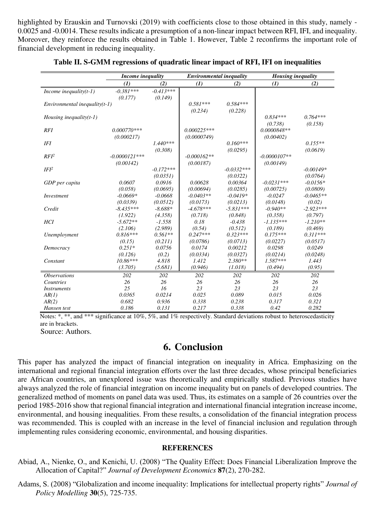highlighted by Erauskin and Turnovski (2019) with coefficients close to those obtained in this study, namely - 0.0025 and -0.0014. These results indicate a presumption of a non-linear impact between RFI, IFI, and inequality. Moreover, they reinforce the results obtained in Table 1. However, Table 2 reconfirms the important role of financial development in reducing inequality.

|                                 | Income inequality       |             |                                                            |              | <b>Housing inequality</b> |             |  |
|---------------------------------|-------------------------|-------------|------------------------------------------------------------|--------------|---------------------------|-------------|--|
|                                 | (2)<br>$\mathcal{L}(I)$ |             | <b>Environmental inequality</b><br>$\mathcal{L}(I)$<br>(2) |              | $\mathcal{L}(I)$          | (2)         |  |
| Income inequality $(t-1)$       | $-0.381***$             | $-0.413***$ |                                                            |              |                           |             |  |
|                                 | (0.177)                 | (0.149)     |                                                            |              |                           |             |  |
| $Environmental inequality(t-1)$ |                         |             | $0.581***$                                                 | $0.584***$   |                           |             |  |
|                                 |                         |             | (0.234)                                                    | (0.228)      |                           |             |  |
| Housing inequality $(t-1)$      |                         |             |                                                            |              | $0.834***$                | $0.764***$  |  |
|                                 |                         |             |                                                            |              | (0.738)                   | (0.158)     |  |
| RFI                             | $0.000770***$           |             | $0.000225***$                                              |              | $0.0000848**$             |             |  |
|                                 | (0.000217)              |             | (0.0000749)                                                |              | (0.00402)                 |             |  |
| IFI                             |                         | $1.440***$  |                                                            | $0.160***$   |                           | $0.155**$   |  |
|                                 |                         | (0.308)     |                                                            | (0.0295)     |                           | (0.0619)    |  |
| RFI <sup>2</sup>                | $-0.0000121$ ***        |             | $-0.000162**$                                              |              | $-0.0000107**$            |             |  |
|                                 | (0.00142)               |             | (0.00187)                                                  |              | (0.00149)                 |             |  |
| IFI <sup>2</sup>                |                         | $-0.172***$ |                                                            | $-0.0332***$ |                           | $-0.00149*$ |  |
|                                 |                         | (0.0351)    |                                                            | (0.0322)     |                           | (0.0764)    |  |
| GDP per capita                  | 0.0607                  | 0.0916      | 0.00628                                                    | 0.00364      | $-0.0231***$              | $-0.0156*$  |  |
|                                 | (0.058)                 | (0.0695)    | (0.00694)                                                  | (0.0285)     | (0.00725)                 | (0.0809)    |  |
| Investment                      | $-0.0669*$              | $-0.0668$   | $-0.0403**$                                                | $-0.0419*$   | $-0.0247$                 | $-0.0465**$ |  |
|                                 | (0.0339)                | (0.0512)    | (0.0173)                                                   | (0.0213)     | (0.0148)                  | (0.02)      |  |
| Credit                          | $-8.435***$             | $-8.688*$   | $-4.678***$                                                | $-5.831***$  | $-0.940**$                | $-2.923***$ |  |
|                                 | (1.922)                 | (4.358)     | (0.718)                                                    | (0.848)      | (0.358)                   | (0.797)     |  |
| <b>HCI</b>                      | $-5.672**$              | $-1.558$    | 0.18                                                       | $-0.438$     | $-1.135***$               | $-1.210**$  |  |
|                                 | (2.106)                 | (2.989)     | (0.54)                                                     | (0.512)      | (0.189)                   | (0.469)     |  |
| Unemployment                    | $0.816***$              | $0.561**$   | $0.247***$                                                 | $0.323***$   | $0.175***$                | $0.311***$  |  |
|                                 | (0.15)                  | (0.211)     | (0.0786)                                                   | (0.0713)     | (0.0227)                  | (0.0517)    |  |
| Democracy                       | $0.251*$                | 0.0756      | 0.0174                                                     | 0.00212      | 0.0298                    | 0.0249      |  |
|                                 | (0.126)                 | (0.2)       | (0.0334)                                                   | (0.0327)     | (0.0214)                  | (0.0248)    |  |
| Constant                        | $10.86***$              | 4.818       | 1.412                                                      | $2.380**$    | $1.587***$                | 1.443       |  |
|                                 | (3.705)                 | (5.681)     | (0.946)                                                    | (1.018)      | (0.494)                   | (0.95)      |  |
| <i><b>Observations</b></i>      | 202                     | 202         | 202                                                        | 202          | 202                       | 202         |  |
| Countries                       | 26                      | 26          | 26                                                         | 26           | 26                        | 26          |  |
| <i>Instruments</i>              | 25                      | 16          | 23                                                         | 23           | 23                        | 23          |  |
| AR(1)                           | 0.0365                  | 0.0214      | 0.025                                                      | 0.089        | 0.015                     | 0.026       |  |
| AR(2)                           | 0.682                   | 0.936       | 0.338                                                      | 0.238        | 0.317                     | 0.321       |  |
| Hansen test                     | 0.186                   | 0.131       | 0.217                                                      | 0.338        | 0.42                      | 0.282       |  |

|  |  |  | Table II. S-GMM regressions of quadratic linear impact of RFI, IFI on inequalities |
|--|--|--|------------------------------------------------------------------------------------|
|  |  |  |                                                                                    |

Notes: \*, \*\*, and \*\*\* significance at 10%, 5%, and 1% respectively. Standard deviations robust to heteroscedasticity are in brackets.

Source: Authors.

### **6. Conclusion**

This paper has analyzed the impact of financial integration on inequality in Africa. Emphasizing on the international and regional financial integration efforts over the last three decades, whose principal beneficiaries are African countries, an unexplored issue was theoretically and empirically studied. Previous studies have always analyzed the role of financial integration on income inequality but on panels of developed countries. The generalized method of moments on panel data was used. Thus, its estimates on a sample of 26 countries over the period 1985-2016 show that regional financial integration and international financial integration increase income, environmental, and housing inequalities. From these results, a consolidation of the financial integration process was recommended. This is coupled with an increase in the level of financial inclusion and regulation through implementing rules considering economic, environmental, and housing disparities.

### **REFERENCES**

Abiad, A., Nienke, O., and Kenichi, U. (2008) "The Quality Effect: Does Financial Liberalization Improve the Allocation of Capital?" *Journal of Development Economics* **87**(2), 270-282.

Adams, S. (2008) "Globalization and income inequality: Implications for intellectual property rights" *Journal of Policy Modelling* **30**(5), 725-735.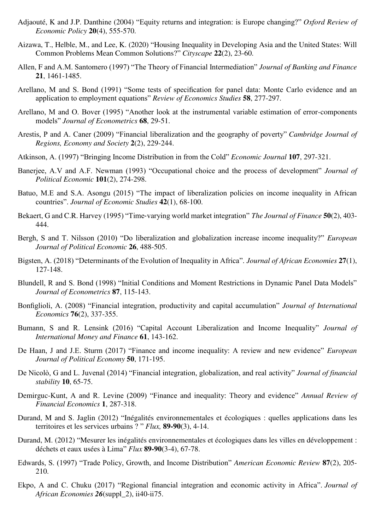- Adjaouté, K and J.P. Danthine (2004) "Equity returns and integration: is Europe changing?" *Oxford Review of Economic Policy* **20**(4), 555-570.
- Aizawa, T., Helble, M., and Lee, K. (2020) "Housing Inequality in Developing Asia and the United States: Will Common Problems Mean Common Solutions?" *Cityscape* **22**(2), 23-60.
- Allen, F and A.M. Santomero (1997) "The Theory of Financial Intermediation" *Journal of Banking and Finance* **21**, 1461-1485.
- Arellano, M and S. Bond (1991) "Some tests of specification for panel data: Monte Carlo evidence and an application to employment equations" *Review of Economics Studies* **58**, 277-297.
- Arellano, M and O. Bover (1995) "Another look at the instrumental variable estimation of error-components models" *Journal of Econometrics* **68**, 29-51.
- Arestis, P and A. Caner (2009) "Financial liberalization and the geography of poverty" *Cambridge Journal of Regions, Economy and Society* **2**(2), 229-244.
- Atkinson, A. (1997) "Bringing Income Distribution in from the Cold" *Economic Journal* **107**, 297-321.
- Banerjee, A.V and A.F. Newman (1993) "Occupational choice and the process of development" *Journal of Political Economic* **101**(2), 274-298.
- Batuo, M.E and S.A. Asongu (2015) "The impact of liberalization policies on income inequality in African countries". *Journal of Economic Studies* **42**(1), 68-100.
- Bekaert, G and C.R. Harvey (1995) "Time‐varying world market integration" *The Journal of Finance* **50**(2), 403- 444.
- Bergh, S and T. Nilsson (2010) "Do liberalization and globalization increase income inequality?" *European Journal of Political Economic* **26**, 488-505.
- Bigsten, A. (2018) "Determinants of the Evolution of Inequality in Africa". *Journal of African Economies* **27**(1), 127-148.
- Blundell, R and S. Bond (1998) "Initial Conditions and Moment Restrictions in Dynamic Panel Data Models" *Journal of Econometrics* **87**, 115-143.
- Bonfiglioli, A. (2008) "Financial integration, productivity and capital accumulation" *Journal of International Economics* **76**(2), 337-355.
- Bumann, S and R. Lensink (2016) "Capital Account Liberalization and Income Inequality" *Journal of International Money and Finance* **61**, 143-162.
- De Haan, J and J.E. Sturm (2017) "Finance and income inequality: A review and new evidence" *European Journal of Political Economy* **50**, 171-195.
- De Nicolò, G and L. Juvenal (2014) "Financial integration, globalization, and real activity" *Journal of financial stability* **10**, 65-75.
- Demirguc-Kunt, A and R. δevine (2009) "Finance and inequality: Theory and evidence" *Annual Review of Financial Economics* **1**, 287-318.
- Durand, M and S. Jaglin (2012) "Inégalités environnementales et écologiques : quelles applications dans les territoires et les services urbains ? " *Flux,* **89-90**(3), 4-14.
- Durand, M. (2012) "Mesurer les inégalités environnementales et écologiques dans les villes en développement : déchets et eaux usées à Lima" *Flux* **89-90**(3-4), 67-78.
- Edwards, S. (1997) "Trade Policy, Growth, and Income Distribution" *American Economic Review* **87**(2), 205- 210.
- Ekpo, A and C. Chuku (2017) "Regional financial integration and economic activity in Africa". *Journal of African Economies 26*(suppl\_2), ii40-ii75.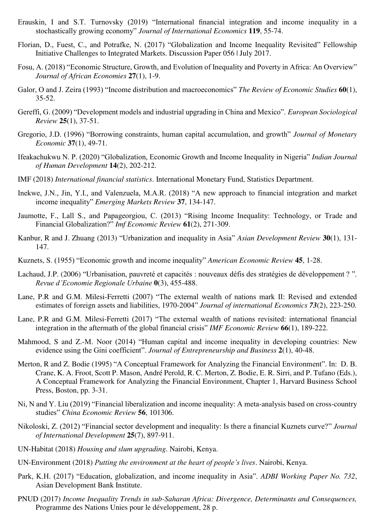- Erauskin, I and S.T. Turnovsky (2019) "International financial integration and income inequality in a stochastically growing economy" *Journal of International Economics* **119**, 55-74.
- Florian, D., Fuest, C., and Potrafke, N. (2017) "Globalization and Income Inequality Revisited" Fellowship Initiative Challenges to Integrated Markets. Discussion Paper 056 | July 2017.
- Fosu, A. (2018) "Economic Structure, Growth, and Evolution of Inequality and Poverty in Africa: An Overview" *Journal of African Economies* **27**(1), 1-9.
- Galor, O and J. Zeira (1993) "Income distribution and macroeconomics" *The Review of Economic Studies* **60**(1), 35-52.
- Gereffi, G. (2009) "Development models and industrial upgrading in China and Mexico". *European Sociological Review* **25**(1), 37-51.
- Gregorio, J.D. (1996) "Borrowing constraints, human capital accumulation, and growth" *Journal of Monetary Economic* **37**(1), 49-71.
- Ifeakachukwu N. P. (2020) "Globalization, Economic Growth and Income Inequality in Nigeria" *Indian Journal of Human Development* **14**(2), 202-212.
- IMF (2018) *International financial statistics*. International Monetary Fund, Statistics Department.
- Inekwe, J.N., Jin, Y.I., and Valenzuela, M.A.R. (2018) "A new approach to financial integration and market income inequality" *Emerging Markets Review* **[37](https://www.sciencedirect.com/science/journal/15660141/37/supp/C)**, 134-147.
- Jaumotte, F., δall S., and Papageorgiou, C. (2013) "Rising Income Inequality: Technology, or Trade and Financial Globalization?" *Imf Economic Review* **61**(2), 271-309.
- Kanbur, R and J. Zhuang (2013) "Urbanization and inequality in Asia" *Asian Development Review* **30**(1), 131- 147.
- Kuznets, S. (1955) "Economic growth and income inequality" *American Economic Review* **45**, 1-28.
- Lachaud, J.P. (2006) "Urbanisation, pauvreté et capacités : nouveaux défis des stratégies de développement ? ". *Revue d'Economie Regionale Urbaine* **0**(3), 455-488.
- Lane, P.R and G.M. Milesi-Ferretti (2007) "The external wealth of nations mark II: Revised and extended estimates of foreign assets and liabilities, 1970-2004" *Journal of international Economics 73*(2), 223-250.
- Lane, P.R and G.M. Milesi-Ferretti (2017) "The external wealth of nations revisited: international financial integration in the aftermath of the global financial crisis" *IMF Economic Review* **66**(1), 189-222.
- Mahmood, S and Z.-M. Noor (2014) "Human capital and income inequality in developing countries: New evidence using the Gini coefficient". *Journal of Entrepreneurship and Business* **2**(1), 40-48.
- Merton, R and Z. Bodie (1995) "A Conceptual Framework for Analyzing the Financial Environment". In: D. B. Crane, K. A. Froot, Scott P. Mason, André Perold, R. C. Merton, Z. Bodie, E. R. Sirri, and P. Tufano (Eds.), A Conceptual Framework for Analyzing the Financial Environment, Chapter 1, Harvard Business School Press, Boston, pp. 3-31.
- Ni, N and Y. Liu (2019) "Financial liberalization and income inequality: A meta-analysis based on cross-country studies" *China Economic Review* **56**, 101306.
- Nikoloski, Z. (2012) "Financial sector development and inequality: Is there a financial Kuznets curve?" *Journal of International Development* **25**(7), 897-911.
- UN-Habitat (2018) *Housing and slum upgrading*. Nairobi, Kenya.
- UN-Environment (2018) *Putting the environment at the heart of people's lives*. Nairobi, Kenya.
- Park, K.H. (2017) "Education, globalization, and income inequality in Asia". *ADBI Working Paper No. 732*, Asian Development Bank Institute.
- PNUD (2017) *Income Inequality Trends in sub-Saharan Africa: Divergence, Determinants and Consequences,* Programme des Nations Unies pour le développement, 28 p.